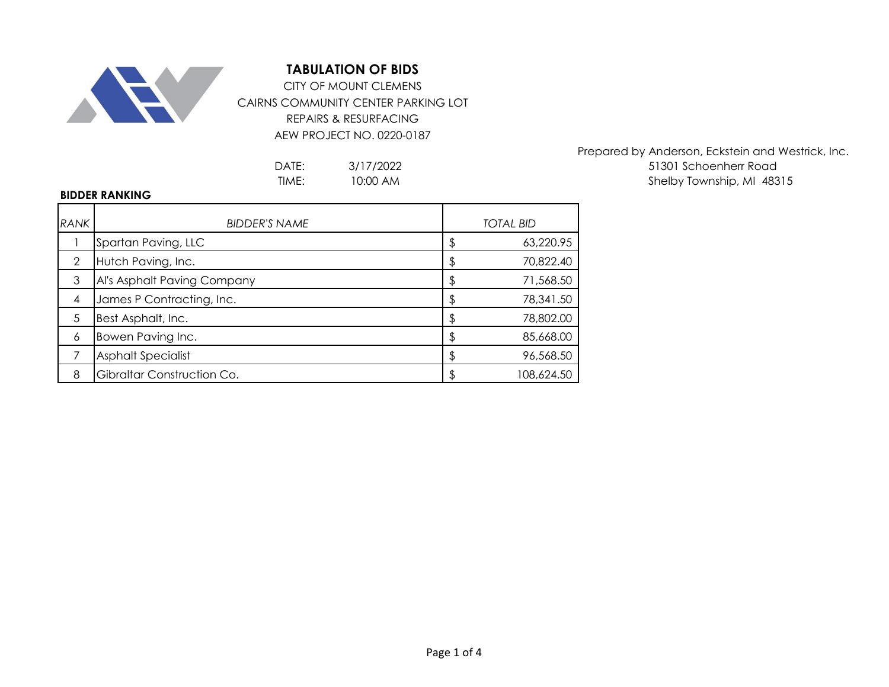

CAIRNS COMMUNITY CENTER PARKING LOT REPAIRS & RESURFACING AEW PROJECT NO. 0220-0187 CITY OF MOUNT CLEMENS

> 3/17/2022 10:00 AM

Prepared by Anderson, Eckstein and Westrick, Inc. DATE: 3/17/2022 3/17/2022 51301 Schoenherr Road TIME: 10:00 AM and the state of the Shelby Township, MI 48315

## **BIDDER RANKING**

| <b>RANK</b> | <b>BIDDER'S NAME</b>        | <b>TOTAL BID</b> |
|-------------|-----------------------------|------------------|
|             | Spartan Paving, LLC         | \$<br>63,220.95  |
| 2           | Hutch Paving, Inc.          | 70,822.40        |
| 3           | Al's Asphalt Paving Company | \$<br>71,568.50  |
| 4           | James P Contracting, Inc.   | \$<br>78,341.50  |
| 5           | Best Asphalt, Inc.          | \$<br>78,802.00  |
| 6           | Bowen Paving Inc.           | \$<br>85,668.00  |
|             | <b>Asphalt Specialist</b>   | \$<br>96,568.50  |
| 8           | Gibraltar Construction Co.  | 108,624.50       |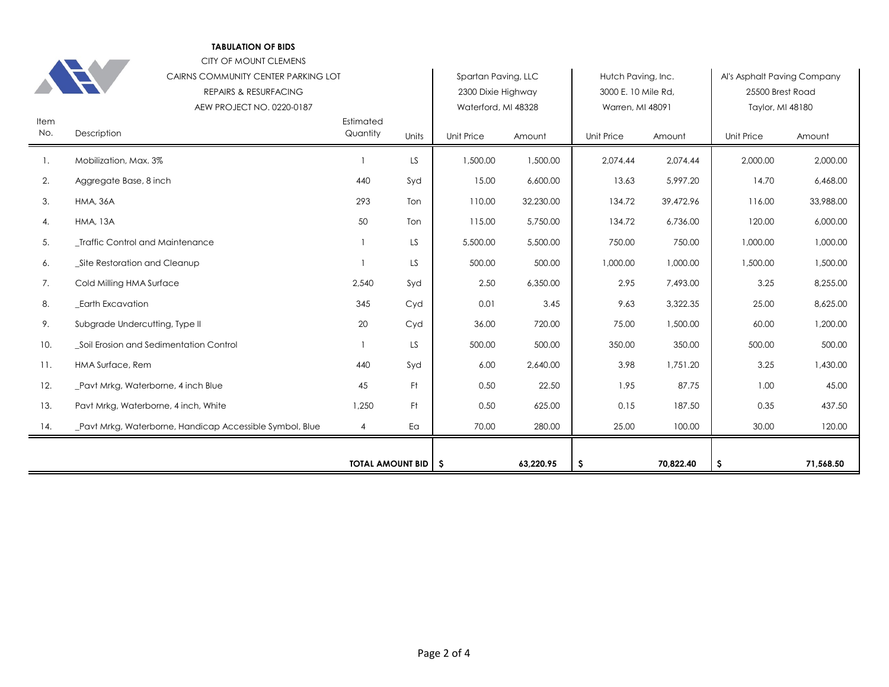CITY OF MOUNT CLEMENS

|             | CAIRNS COMMUNITY CENTER PARKING LOT                     |                       |       | Spartan Paving, LLC |           | Hutch Paving, Inc.  |           | Al's Asphalt Paving Company |           |
|-------------|---------------------------------------------------------|-----------------------|-------|---------------------|-----------|---------------------|-----------|-----------------------------|-----------|
|             | <b>REPAIRS &amp; RESURFACING</b>                        |                       |       | 2300 Dixie Highway  |           | 3000 E. 10 Mile Rd. |           | 25500 Brest Road            |           |
|             | AEW PROJECT NO. 0220-0187                               |                       |       | Waterford, MI 48328 |           | Warren, MI 48091    |           | Taylor, MI 48180            |           |
| Item<br>No. | Description                                             | Estimated<br>Quantity | Units | <b>Unit Price</b>   | Amount    | <b>Unit Price</b>   | Amount    | Unit Price                  | Amount    |
| 1.          | Mobilization, Max. 3%                                   |                       | LS    | 1,500.00            | 1,500.00  | 2,074.44            | 2,074.44  | 2,000.00                    | 2,000.00  |
| 2.          | Aggregate Base, 8 inch                                  | 440                   | Syd   | 15.00               | 6,600.00  | 13.63               | 5,997.20  | 14.70                       | 6,468.00  |
| 3.          | <b>HMA, 36A</b>                                         | 293                   | Ton   | 110.00              | 32,230.00 | 134.72              | 39,472.96 | 116.00                      | 33,988.00 |
| 4.          | <b>HMA, 13A</b>                                         | 50                    | Ton   | 115.00              | 5,750.00  | 134.72              | 6,736.00  | 120.00                      | 6,000.00  |
| 5.          | _Traffic Control and Maintenance                        |                       | LS    | 5,500.00            | 5,500.00  | 750.00              | 750.00    | 1,000.00                    | 1,000.00  |
| 6.          | _Site Restoration and Cleanup                           |                       | LS.   | 500.00              | 500.00    | 1,000.00            | 1,000.00  | 1,500.00                    | 1,500.00  |
| 7.          | Cold Milling HMA Surface                                | 2,540                 | Syd   | 2.50                | 6,350.00  | 2.95                | 7,493.00  | 3.25                        | 8,255.00  |
| 8.          | <b>Earth Excavation</b>                                 | 345                   | Cyd   | 0.01                | 3.45      | 9.63                | 3,322.35  | 25.00                       | 8,625.00  |
| 9.          | Subgrade Undercutting, Type II                          | 20                    | Cyd   | 36.00               | 720.00    | 75.00               | 1,500.00  | 60.00                       | 1,200.00  |
| 10.         | _Soil Erosion and Sedimentation Control                 |                       | LS    | 500.00              | 500.00    | 350.00              | 350.00    | 500.00                      | 500.00    |
| 11.         | HMA Surface, Rem                                        | 440                   | Syd   | 6.00                | 2,640.00  | 3.98                | 1,751.20  | 3.25                        | 1,430.00  |
| 12.         | _Pavt Mrkg, Waterborne, 4 inch Blue                     | 45                    | Ft    | 0.50                | 22.50     | 1.95                | 87.75     | 1.00                        | 45.00     |
| 13.         | Pavt Mrkg, Waterborne, 4 inch, White                    | 1,250                 | Ft.   | 0.50                | 625.00    | 0.15                | 187.50    | 0.35                        | 437.50    |
| 14.         | Pavt Mrkg, Waterborne, Handicap Accessible Symbol, Blue | $\overline{4}$        | Ea    | 70.00               | 280.00    | 25.00               | 100.00    | 30.00                       | 120.00    |
|             |                                                         |                       |       |                     |           |                     |           |                             |           |
|             |                                                         | TOTAL AMOUNT BID   \$ |       |                     | 63,220.95 | \$.                 | 70,822.40 | \$                          | 71,568.50 |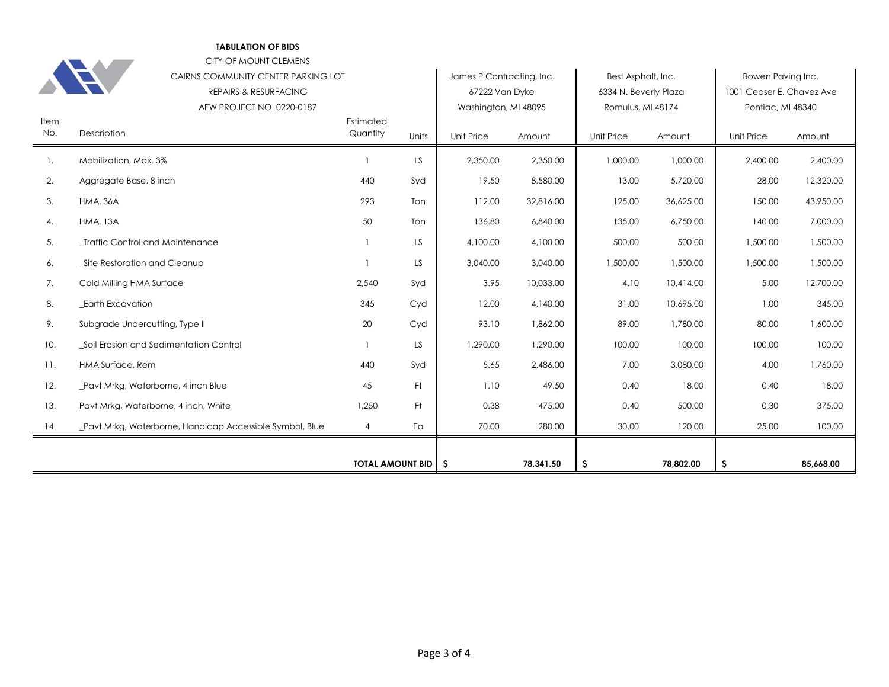CITY OF MOUNT CLEMENS

| Item | CAIRNS COMMUNITY CENTER PARKING LOT<br><b>REPAIRS &amp; RESURFACING</b><br>AEW PROJECT NO. 0220-0187 | Estimated                   |           | James P Contracting, Inc.<br>67222 Van Dyke<br>Washington, MI 48095 |           | Best Asphalt, Inc.<br>6334 N. Beverly Plaza<br>Romulus, MI 48174 |           | Bowen Paving Inc.<br>1001 Ceaser E. Chavez Ave<br>Pontiac, MI 48340 |           |
|------|------------------------------------------------------------------------------------------------------|-----------------------------|-----------|---------------------------------------------------------------------|-----------|------------------------------------------------------------------|-----------|---------------------------------------------------------------------|-----------|
| No.  | Description                                                                                          | Quantity                    | Units     | Unit Price                                                          | Amount    | <b>Unit Price</b>                                                | Amount    | Unit Price                                                          | Amount    |
| 1.   | Mobilization, Max. 3%                                                                                |                             | <b>LS</b> | 2,350.00                                                            | 2,350.00  | 1,000.00                                                         | 1,000.00  | 2,400.00                                                            | 2,400.00  |
| 2.   | Aggregate Base, 8 inch                                                                               | 440                         | Syd       | 19.50                                                               | 8,580.00  | 13.00                                                            | 5,720.00  | 28.00                                                               | 12,320.00 |
| 3.   | <b>HMA, 36A</b>                                                                                      | 293                         | Ton       | 112.00                                                              | 32,816.00 | 125.00                                                           | 36,625.00 | 150.00                                                              | 43,950.00 |
| 4.   | <b>HMA, 13A</b>                                                                                      | 50                          | Ton       | 136.80                                                              | 6,840.00  | 135.00                                                           | 6,750.00  | 140.00                                                              | 7,000.00  |
| 5.   | _Traffic Control and Maintenance                                                                     | $\mathbf{1}$                | LS.       | 4,100.00                                                            | 4,100.00  | 500.00                                                           | 500.00    | 1,500.00                                                            | 1,500.00  |
| 6.   | _Site Restoration and Cleanup                                                                        | $\overline{1}$              | LS        | 3,040.00                                                            | 3,040.00  | 1,500.00                                                         | 1,500.00  | 1,500.00                                                            | 1,500.00  |
| 7.   | Cold Milling HMA Surface                                                                             | 2,540                       | Syd       | 3.95                                                                | 10,033.00 | 4.10                                                             | 10,414.00 | 5.00                                                                | 12,700.00 |
| 8.   | <b>Earth Excavation</b>                                                                              | 345                         | Cyd       | 12.00                                                               | 4,140.00  | 31.00                                                            | 10,695.00 | 1.00                                                                | 345.00    |
| 9.   | Subgrade Undercutting, Type II                                                                       | 20                          | Cyd       | 93.10                                                               | 1,862.00  | 89.00                                                            | 1,780.00  | 80.00                                                               | 1,600.00  |
| 10.  | Soil Erosion and Sedimentation Control                                                               | $\mathbf{1}$                | LS.       | 1,290.00                                                            | 1,290.00  | 100.00                                                           | 100.00    | 100.00                                                              | 100.00    |
| 11.  | HMA Surface, Rem                                                                                     | 440                         | Syd       | 5.65                                                                | 2,486.00  | 7.00                                                             | 3,080.00  | 4.00                                                                | 1,760.00  |
| 12.  | _Pavt Mrkg, Waterborne, 4 inch Blue                                                                  | 45                          | Ft.       | 1.10                                                                | 49.50     | 0.40                                                             | 18.00     | 0.40                                                                | 18.00     |
| 13.  | Pavt Mrkg, Waterborne, 4 inch, White                                                                 | 1,250                       | Ft.       | 0.38                                                                | 475.00    | 0.40                                                             | 500.00    | 0.30                                                                | 375.00    |
| 14.  | Pavt Mrkg, Waterborne, Handicap Accessible Symbol, Blue                                              | 4                           | Ea        | 70.00                                                               | 280.00    | 30.00                                                            | 120.00    | 25.00                                                               | 100.00    |
|      |                                                                                                      | <b>TOTAL AMOUNT BID   S</b> |           |                                                                     | 78,341.50 | \$.                                                              | 78,802.00 | \$.                                                                 | 85,668.00 |